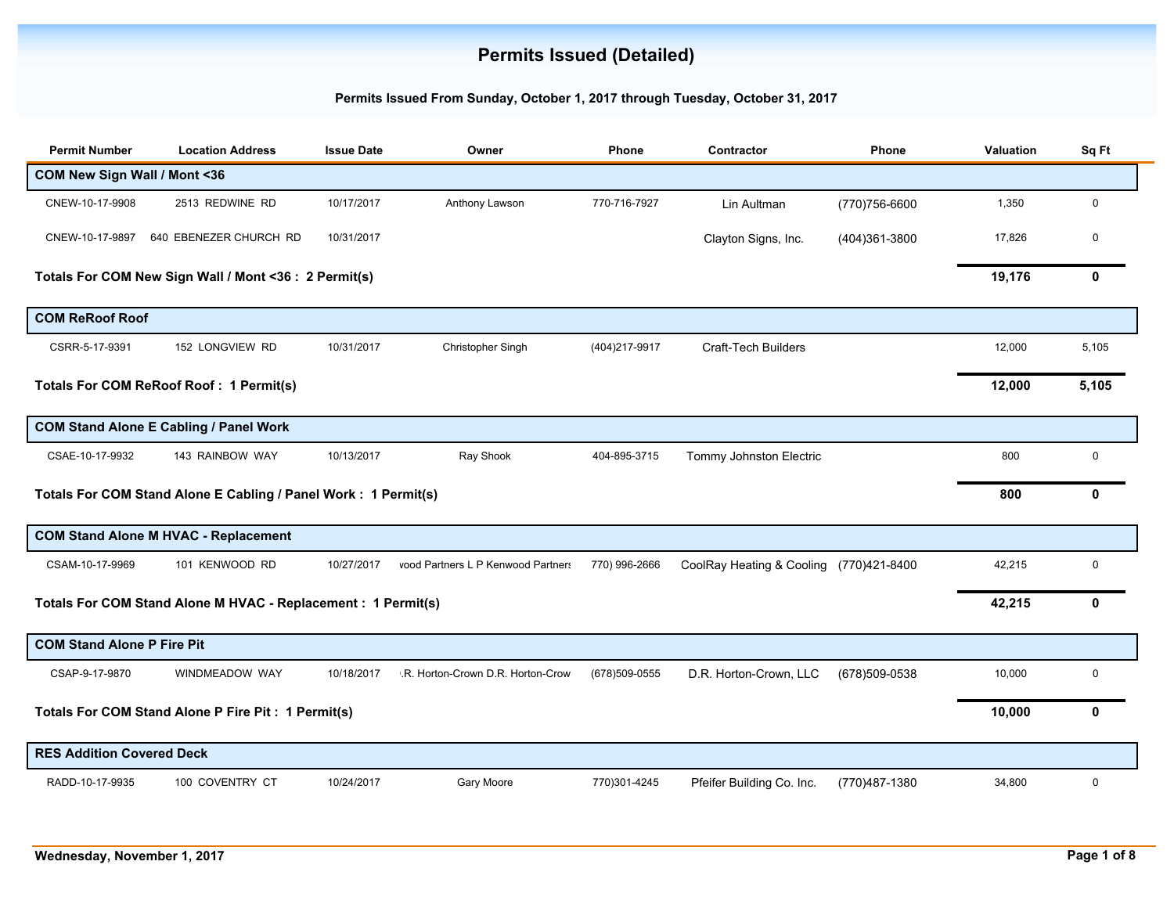## **Permits Issued (Detailed)**

## **Permits Issued From Sunday, October 1, 2017 through Tuesday, October 31, 2017**

| <b>Permit Number</b>              | <b>Location Address</b>                                        | <b>Issue Date</b> | Owner                              | <b>Phone</b>   | Contractor                              | Phone          | <b>Valuation</b> | Sq Ft        |
|-----------------------------------|----------------------------------------------------------------|-------------------|------------------------------------|----------------|-----------------------------------------|----------------|------------------|--------------|
| COM New Sign Wall / Mont <36      |                                                                |                   |                                    |                |                                         |                |                  |              |
| CNEW-10-17-9908                   | 2513 REDWINE RD                                                | 10/17/2017        | Anthony Lawson                     | 770-716-7927   | Lin Aultman                             | (770) 756-6600 | 1,350            | $\mathbf 0$  |
| CNEW-10-17-9897                   | 640 EBENEZER CHURCH RD                                         | 10/31/2017        |                                    |                | Clayton Signs, Inc.                     | (404)361-3800  | 17,826           | 0            |
|                                   | Totals For COM New Sign Wall / Mont <36 : 2 Permit(s)          |                   |                                    |                |                                         |                | 19,176           | $\mathbf 0$  |
| <b>COM ReRoof Roof</b>            |                                                                |                   |                                    |                |                                         |                |                  |              |
| CSRR-5-17-9391                    | 152 LONGVIEW RD                                                | 10/31/2017        | Christopher Singh                  | (404) 217-9917 | <b>Craft-Tech Builders</b>              |                | 12,000           | 5,105        |
|                                   | <b>Totals For COM ReRoof Roof: 1 Permit(s)</b>                 |                   |                                    |                |                                         |                | 12,000           | 5,105        |
|                                   | <b>COM Stand Alone E Cabling / Panel Work</b>                  |                   |                                    |                |                                         |                |                  |              |
| CSAE-10-17-9932                   | 143 RAINBOW WAY                                                | 10/13/2017        | Ray Shook                          | 404-895-3715   | Tommy Johnston Electric                 |                | 800              | 0            |
|                                   | Totals For COM Stand Alone E Cabling / Panel Work: 1 Permit(s) |                   |                                    |                |                                         |                | 800              | $\mathbf{0}$ |
|                                   | <b>COM Stand Alone M HVAC - Replacement</b>                    |                   |                                    |                |                                         |                |                  |              |
| CSAM-10-17-9969                   | 101 KENWOOD RD                                                 | 10/27/2017        | vood Partners L P Kenwood Partners | 770) 996-2666  | CoolRay Heating & Cooling (770)421-8400 |                | 42,215           | 0            |
|                                   | Totals For COM Stand Alone M HVAC - Replacement : 1 Permit(s)  |                   |                                    |                |                                         |                | 42,215           | $\mathbf{0}$ |
| <b>COM Stand Alone P Fire Pit</b> |                                                                |                   |                                    |                |                                         |                |                  |              |
| CSAP-9-17-9870                    | WINDMEADOW WAY                                                 | 10/18/2017        | .R. Horton-Crown D.R. Horton-Crow  | (678)509-0555  | D.R. Horton-Crown, LLC                  | (678)509-0538  | 10,000           | $\mathbf 0$  |
|                                   | Totals For COM Stand Alone P Fire Pit: 1 Permit(s)             |                   |                                    |                |                                         |                | 10,000           | $\mathbf{0}$ |
| <b>RES Addition Covered Deck</b>  |                                                                |                   |                                    |                |                                         |                |                  |              |
| RADD-10-17-9935                   | 100 COVENTRY CT                                                | 10/24/2017        | Gary Moore                         | 770)301-4245   | Pfeifer Building Co. Inc.               | (770)487-1380  | 34,800           | 0            |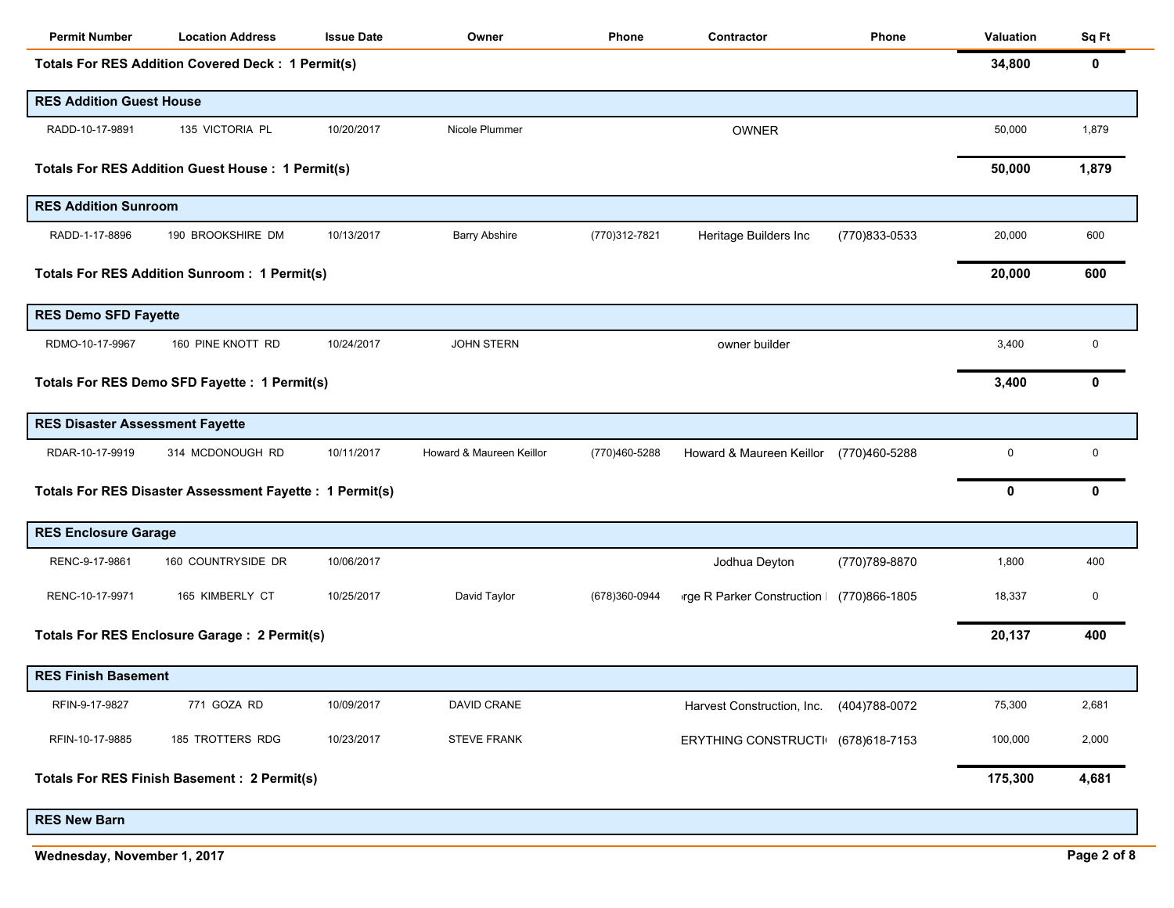| <b>Permit Number</b>                   | <b>Location Address</b>                                  | <b>Issue Date</b> | Owner                    | Phone         | Contractor                        | Phone          | Valuation | Sq Ft       |
|----------------------------------------|----------------------------------------------------------|-------------------|--------------------------|---------------|-----------------------------------|----------------|-----------|-------------|
|                                        | <b>Totals For RES Addition Covered Deck: 1 Permit(s)</b> |                   |                          |               |                                   |                | 34,800    | 0           |
| <b>RES Addition Guest House</b>        |                                                          |                   |                          |               |                                   |                |           |             |
| RADD-10-17-9891                        | 135 VICTORIA PL                                          | 10/20/2017        | Nicole Plummer           |               | <b>OWNER</b>                      |                | 50,000    | 1,879       |
|                                        | <b>Totals For RES Addition Guest House: 1 Permit(s)</b>  |                   |                          |               |                                   |                | 50,000    | 1,879       |
| <b>RES Addition Sunroom</b>            |                                                          |                   |                          |               |                                   |                |           |             |
| RADD-1-17-8896                         | 190 BROOKSHIRE DM                                        | 10/13/2017        | <b>Barry Abshire</b>     | (770)312-7821 | Heritage Builders Inc             | (770)833-0533  | 20,000    | 600         |
|                                        | <b>Totals For RES Addition Sunroom: 1 Permit(s)</b>      |                   |                          |               |                                   |                | 20,000    | 600         |
| <b>RES Demo SFD Fayette</b>            |                                                          |                   |                          |               |                                   |                |           |             |
| RDMO-10-17-9967                        | 160 PINE KNOTT RD                                        | 10/24/2017        | <b>JOHN STERN</b>        |               | owner builder                     |                | 3,400     | $\mathbf 0$ |
|                                        | Totals For RES Demo SFD Fayette : 1 Permit(s)            |                   |                          |               |                                   |                | 3,400     | 0           |
| <b>RES Disaster Assessment Fayette</b> |                                                          |                   |                          |               |                                   |                |           |             |
| RDAR-10-17-9919                        | 314 MCDONOUGH RD                                         | 10/11/2017        | Howard & Maureen Keillor | (770)460-5288 | Howard & Maureen Keillor          | (770)460-5288  | 0         | $\mathbf 0$ |
|                                        | Totals For RES Disaster Assessment Fayette : 1 Permit(s) |                   |                          |               |                                   |                | 0         | 0           |
| <b>RES Enclosure Garage</b>            |                                                          |                   |                          |               |                                   |                |           |             |
| RENC-9-17-9861                         | 160 COUNTRYSIDE DR                                       | 10/06/2017        |                          |               | Jodhua Deyton                     | (770) 789-8870 | 1,800     | 400         |
| RENC-10-17-9971                        | 165 KIMBERLY CT                                          | 10/25/2017        | David Taylor             | (678)360-0944 | vrge R Parker Construction        | (770)866-1805  | 18,337    | 0           |
|                                        | Totals For RES Enclosure Garage : 2 Permit(s)            |                   |                          |               |                                   |                | 20,137    | 400         |
| <b>RES Finish Basement</b>             |                                                          |                   |                          |               |                                   |                |           |             |
| RFIN-9-17-9827                         | 771 GOZA RD                                              | 10/09/2017        | DAVID CRANE              |               | Harvest Construction, Inc.        | (404) 788-0072 | 75,300    | 2,681       |
| RFIN-10-17-9885                        | 185 TROTTERS RDG                                         | 10/23/2017        | <b>STEVE FRANK</b>       |               | ERYTHING CONSTRUCTI (678)618-7153 |                | 100,000   | 2,000       |
|                                        | <b>Totals For RES Finish Basement: 2 Permit(s)</b>       |                   |                          |               |                                   |                | 175,300   | 4,681       |

**RES New Barn**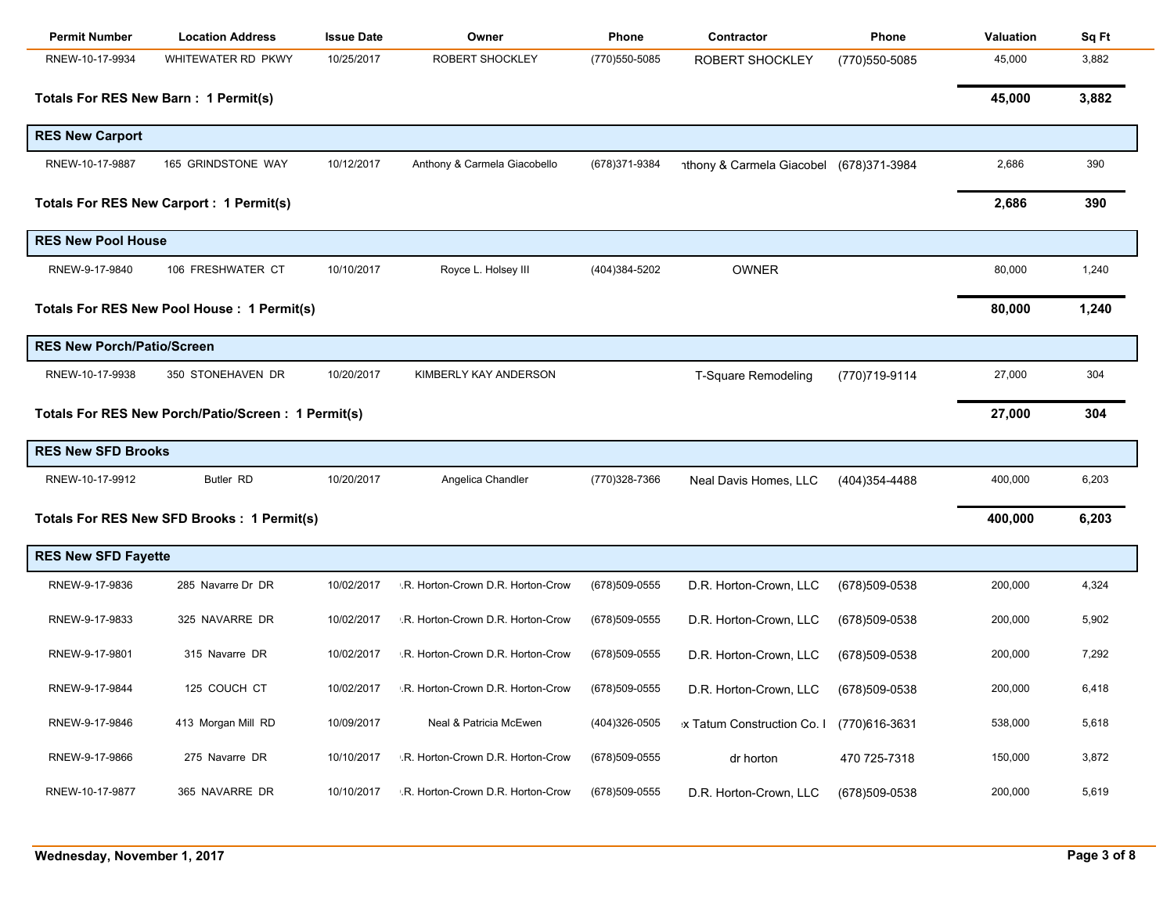| <b>Permit Number</b>              | <b>Location Address</b>                            | <b>Issue Date</b> | Owner                             | Phone          | Contractor                              | Phone          | <b>Valuation</b> | Sq Ft |
|-----------------------------------|----------------------------------------------------|-------------------|-----------------------------------|----------------|-----------------------------------------|----------------|------------------|-------|
| RNEW-10-17-9934                   | WHITEWATER RD PKWY                                 | 10/25/2017        | ROBERT SHOCKLEY                   | (770) 550-5085 | <b>ROBERT SHOCKLEY</b>                  | (770) 550-5085 | 45,000           | 3,882 |
|                                   | Totals For RES New Barn: 1 Permit(s)               |                   |                                   |                |                                         |                | 45,000           | 3,882 |
| <b>RES New Carport</b>            |                                                    |                   |                                   |                |                                         |                |                  |       |
| RNEW-10-17-9887                   | 165 GRINDSTONE WAY                                 | 10/12/2017        | Anthony & Carmela Giacobello      | (678) 371-9384 | nthony & Carmela Giacobel (678)371-3984 |                | 2,686            | 390   |
|                                   | Totals For RES New Carport : 1 Permit(s)           |                   |                                   |                |                                         |                | 2,686            | 390   |
| <b>RES New Pool House</b>         |                                                    |                   |                                   |                |                                         |                |                  |       |
| RNEW-9-17-9840                    | 106 FRESHWATER CT                                  | 10/10/2017        | Royce L. Holsey III               | (404)384-5202  | <b>OWNER</b>                            |                | 80,000           | 1,240 |
|                                   | Totals For RES New Pool House : 1 Permit(s)        |                   |                                   |                |                                         |                | 80,000           | 1,240 |
| <b>RES New Porch/Patio/Screen</b> |                                                    |                   |                                   |                |                                         |                |                  |       |
| RNEW-10-17-9938                   | 350 STONEHAVEN DR                                  | 10/20/2017        | KIMBERLY KAY ANDERSON             |                | <b>T-Square Remodeling</b>              | (770)719-9114  | 27,000           | 304   |
|                                   | Totals For RES New Porch/Patio/Screen: 1 Permit(s) |                   |                                   |                |                                         |                | 27,000           | 304   |
| <b>RES New SFD Brooks</b>         |                                                    |                   |                                   |                |                                         |                |                  |       |
| RNEW-10-17-9912                   | <b>Butler RD</b>                                   | 10/20/2017        | Angelica Chandler                 | (770)328-7366  | Neal Davis Homes, LLC                   | (404) 354-4488 | 400,000          | 6,203 |
|                                   | Totals For RES New SFD Brooks : 1 Permit(s)        |                   |                                   |                |                                         |                | 400,000          | 6,203 |
| <b>RES New SFD Fayette</b>        |                                                    |                   |                                   |                |                                         |                |                  |       |
| RNEW-9-17-9836                    | 285 Navarre Dr DR                                  | 10/02/2017        | .R. Horton-Crown D.R. Horton-Crow | (678)509-0555  | D.R. Horton-Crown, LLC                  | (678) 509-0538 | 200,000          | 4,324 |
| RNEW-9-17-9833                    | 325 NAVARRE DR                                     | 10/02/2017        | .R. Horton-Crown D.R. Horton-Crow | (678) 509-0555 | D.R. Horton-Crown, LLC                  | (678)509-0538  | 200,000          | 5,902 |
| RNEW-9-17-9801                    | 315 Navarre DR                                     | 10/02/2017        | .R. Horton-Crown D.R. Horton-Crow | (678)509-0555  | D.R. Horton-Crown, LLC                  | (678)509-0538  | 200,000          | 7,292 |
| RNEW-9-17-9844                    | 125 COUCH CT                                       | 10/02/2017        | .R. Horton-Crown D.R. Horton-Crow | (678) 509-0555 | D.R. Horton-Crown, LLC                  | (678)509-0538  | 200,000          | 6,418 |
| RNEW-9-17-9846                    | 413 Morgan Mill RD                                 | 10/09/2017        | Neal & Patricia McEwen            | (404)326-0505  | x Tatum Construction Co. I              | (770)616-3631  | 538,000          | 5,618 |
| RNEW-9-17-9866                    | 275 Navarre DR                                     | 10/10/2017        | .R. Horton-Crown D.R. Horton-Crow | (678) 509-0555 | dr horton                               | 470 725-7318   | 150,000          | 3,872 |
| RNEW-10-17-9877                   | 365 NAVARRE DR                                     | 10/10/2017        | .R. Horton-Crown D.R. Horton-Crow | (678) 509-0555 | D.R. Horton-Crown, LLC                  | (678)509-0538  | 200,000          | 5,619 |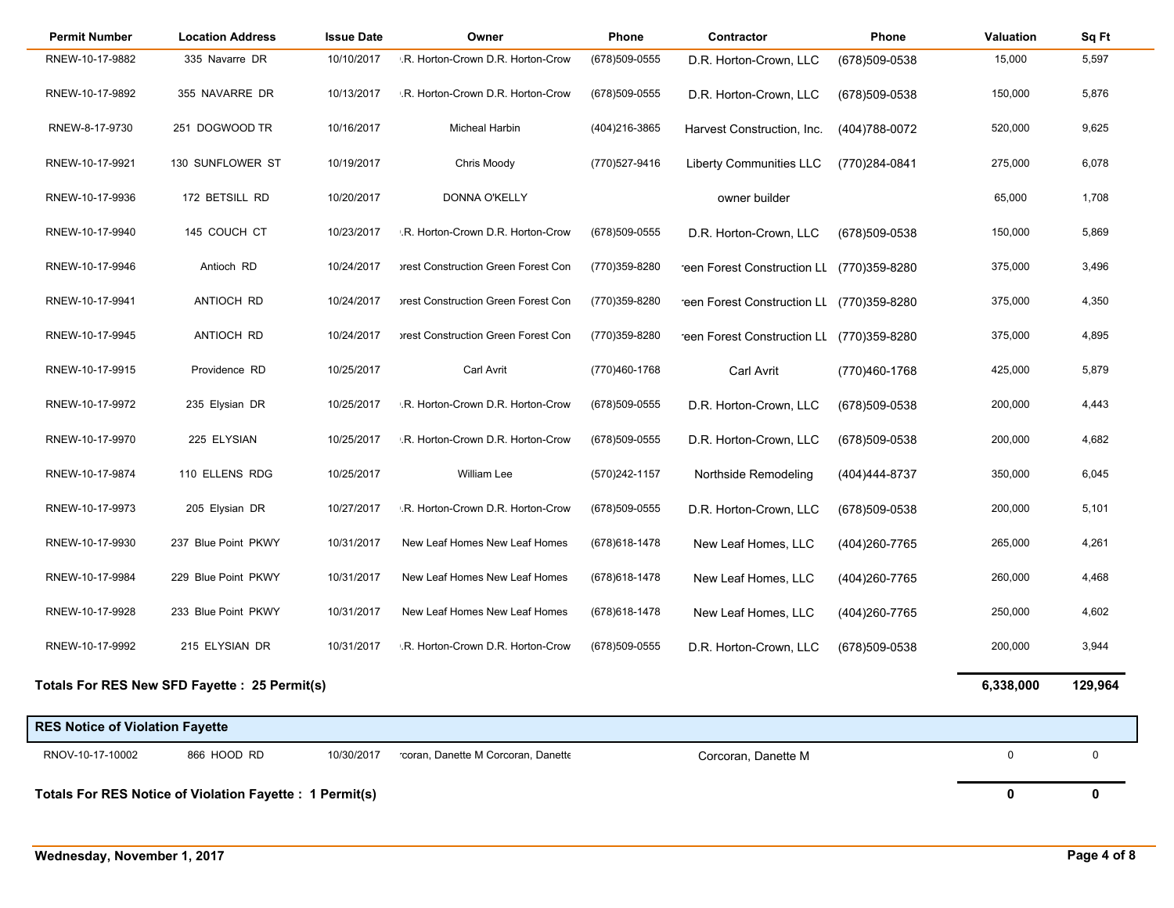| <b>Permit Number</b>                                     | <b>Location Address</b>                       | <b>Issue Date</b> | Owner                               | Phone          | Contractor                                | Phone          | <b>Valuation</b> | Sq Ft   |
|----------------------------------------------------------|-----------------------------------------------|-------------------|-------------------------------------|----------------|-------------------------------------------|----------------|------------------|---------|
| RNEW-10-17-9882                                          | 335 Navarre DR                                | 10/10/2017        | .R. Horton-Crown D.R. Horton-Crow   | (678) 509-0555 | D.R. Horton-Crown, LLC                    | (678)509-0538  | 15,000           | 5,597   |
| RNEW-10-17-9892                                          | 355 NAVARRE DR                                | 10/13/2017        | .R. Horton-Crown D.R. Horton-Crow   | (678) 509-0555 | D.R. Horton-Crown, LLC                    | (678)509-0538  | 150,000          | 5,876   |
| RNEW-8-17-9730                                           | 251 DOGWOOD TR                                | 10/16/2017        | Micheal Harbin                      | (404) 216-3865 | Harvest Construction, Inc.                | (404) 788-0072 | 520,000          | 9,625   |
| RNEW-10-17-9921                                          | 130 SUNFLOWER ST                              | 10/19/2017        | Chris Moody                         | (770) 527-9416 | <b>Liberty Communities LLC</b>            | (770)284-0841  | 275,000          | 6,078   |
| RNEW-10-17-9936                                          | 172 BETSILL RD                                | 10/20/2017        | DONNA O'KELLY                       |                | owner builder                             |                | 65,000           | 1,708   |
| RNEW-10-17-9940                                          | 145 COUCH CT                                  | 10/23/2017        | .R. Horton-Crown D.R. Horton-Crow   | (678) 509-0555 | D.R. Horton-Crown, LLC                    | (678)509-0538  | 150,000          | 5,869   |
| RNEW-10-17-9946                                          | Antioch RD                                    | 10/24/2017        | orest Construction Green Forest Con | (770)359-8280  | reen Forest Construction LL (770)359-8280 |                | 375,000          | 3,496   |
| RNEW-10-17-9941                                          | ANTIOCH RD                                    | 10/24/2017        | orest Construction Green Forest Con | (770)359-8280  | reen Forest Construction LL (770)359-8280 |                | 375,000          | 4,350   |
| RNEW-10-17-9945                                          | ANTIOCH RD                                    | 10/24/2017        | orest Construction Green Forest Con | (770)359-8280  | reen Forest Construction LL (770)359-8280 |                | 375,000          | 4,895   |
| RNEW-10-17-9915                                          | Providence RD                                 | 10/25/2017        | Carl Avrit                          | (770)460-1768  | <b>Carl Avrit</b>                         | (770)460-1768  | 425,000          | 5,879   |
| RNEW-10-17-9972                                          | 235 Elysian DR                                | 10/25/2017        | .R. Horton-Crown D.R. Horton-Crow   | (678) 509-0555 | D.R. Horton-Crown, LLC                    | (678)509-0538  | 200,000          | 4,443   |
| RNEW-10-17-9970                                          | 225 ELYSIAN                                   | 10/25/2017        | .R. Horton-Crown D.R. Horton-Crow   | (678) 509-0555 | D.R. Horton-Crown, LLC                    | (678)509-0538  | 200,000          | 4,682   |
| RNEW-10-17-9874                                          | 110 ELLENS RDG                                | 10/25/2017        | William Lee                         | (570) 242-1157 | Northside Remodeling                      | (404)444-8737  | 350,000          | 6,045   |
| RNEW-10-17-9973                                          | 205 Elysian DR                                | 10/27/2017        | .R. Horton-Crown D.R. Horton-Crow   | (678) 509-0555 | D.R. Horton-Crown, LLC                    | (678)509-0538  | 200,000          | 5,101   |
| RNEW-10-17-9930                                          | 237 Blue Point PKWY                           | 10/31/2017        | New Leaf Homes New Leaf Homes       | (678) 618-1478 | New Leaf Homes, LLC                       | (404) 260-7765 | 265,000          | 4,261   |
| RNEW-10-17-9984                                          | 229 Blue Point PKWY                           | 10/31/2017        | New Leaf Homes New Leaf Homes       | (678) 618-1478 | New Leaf Homes, LLC                       | (404) 260-7765 | 260,000          | 4,468   |
| RNEW-10-17-9928                                          | 233 Blue Point PKWY                           | 10/31/2017        | New Leaf Homes New Leaf Homes       | (678) 618-1478 | New Leaf Homes, LLC                       | (404) 260-7765 | 250,000          | 4,602   |
| RNEW-10-17-9992                                          | 215 ELYSIAN DR                                | 10/31/2017        | .R. Horton-Crown D.R. Horton-Crow   | (678)509-0555  | D.R. Horton-Crown, LLC                    | (678)509-0538  | 200,000          | 3,944   |
|                                                          | Totals For RES New SFD Fayette : 25 Permit(s) |                   |                                     |                |                                           |                | 6,338,000        | 129,964 |
| <b>RES Notice of Violation Fayette</b>                   |                                               |                   |                                     |                |                                           |                |                  |         |
| RNOV-10-17-10002                                         | 866 HOOD RD                                   | 10/30/2017        | coran, Danette M Corcoran, Danette  |                | Corcoran, Danette M                       |                | $\mathbf 0$      | 0       |
| Totals For RES Notice of Violation Fayette : 1 Permit(s) |                                               |                   |                                     |                |                                           | 0              | 0                |         |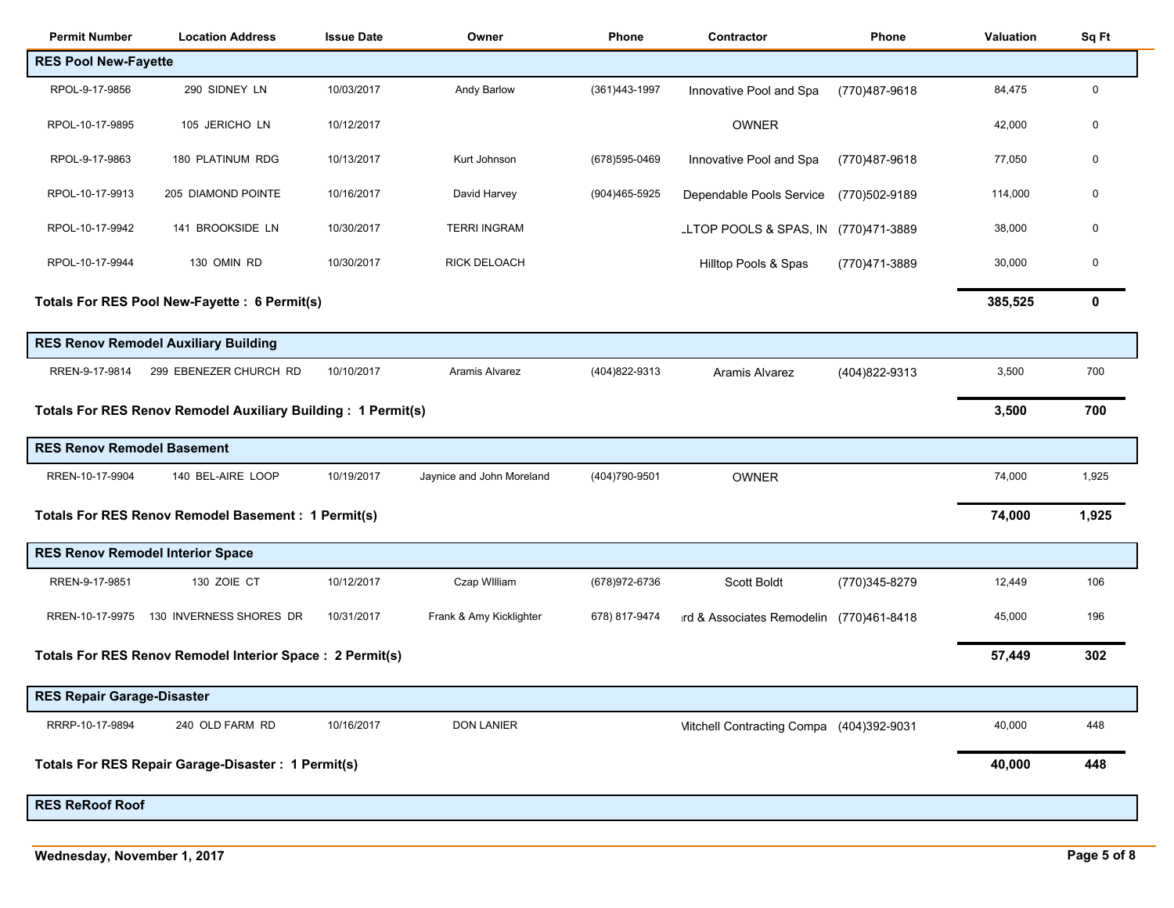| <b>Permit Number</b>              | <b>Location Address</b>                                      | <b>Issue Date</b> | Owner                     | Phone          | Contractor                               | Phone         | <b>Valuation</b> | Sq Ft |
|-----------------------------------|--------------------------------------------------------------|-------------------|---------------------------|----------------|------------------------------------------|---------------|------------------|-------|
| <b>RES Pool New-Fayette</b>       |                                                              |                   |                           |                |                                          |               |                  |       |
| RPOL-9-17-9856                    | 290 SIDNEY LN                                                | 10/03/2017        | Andy Barlow               | (361)443-1997  | Innovative Pool and Spa                  | (770)487-9618 | 84,475           | 0     |
| RPOL-10-17-9895                   | 105 JERICHO LN                                               | 10/12/2017        |                           |                | OWNER                                    |               | 42,000           | 0     |
| RPOL-9-17-9863                    | 180 PLATINUM RDG                                             | 10/13/2017        | Kurt Johnson              | (678) 595-0469 | Innovative Pool and Spa                  | (770)487-9618 | 77,050           | 0     |
| RPOL-10-17-9913                   | 205 DIAMOND POINTE                                           | 10/16/2017        | David Harvey              | (904)465-5925  | Dependable Pools Service                 | (770)502-9189 | 114,000          | 0     |
| RPOL-10-17-9942                   | 141 BROOKSIDE LN                                             | 10/30/2017        | <b>TERRI INGRAM</b>       |                | LLTOP POOLS & SPAS, IN                   | (770)471-3889 | 38,000           | 0     |
| RPOL-10-17-9944                   | 130 OMIN RD                                                  | 10/30/2017        | <b>RICK DELOACH</b>       |                | Hilltop Pools & Spas                     | (770)471-3889 | 30,000           | 0     |
|                                   | Totals For RES Pool New-Fayette : 6 Permit(s)                |                   |                           |                |                                          |               | 385,525          | 0     |
|                                   | <b>RES Renov Remodel Auxiliary Building</b>                  |                   |                           |                |                                          |               |                  |       |
| RREN-9-17-9814                    | 299 EBENEZER CHURCH RD                                       | 10/10/2017        | Aramis Alvarez            | (404) 822-9313 | Aramis Alvarez                           | (404)822-9313 | 3,500            | 700   |
|                                   | Totals For RES Renov Remodel Auxiliary Building: 1 Permit(s) |                   |                           |                |                                          |               | 3,500            | 700   |
| <b>RES Renov Remodel Basement</b> |                                                              |                   |                           |                |                                          |               |                  |       |
| RREN-10-17-9904                   | 140 BEL-AIRE LOOP                                            | 10/19/2017        | Jaynice and John Moreland | (404) 790-9501 | <b>OWNER</b>                             |               | 74,000           | 1,925 |
|                                   | Totals For RES Renov Remodel Basement : 1 Permit(s)          |                   |                           |                |                                          |               | 74,000           | 1,925 |
|                                   | <b>RES Renov Remodel Interior Space</b>                      |                   |                           |                |                                          |               |                  |       |
| RREN-9-17-9851                    | 130 ZOIE CT                                                  | 10/12/2017        | Czap William              | (678) 972-6736 | Scott Boldt                              | (770)345-8279 | 12,449           | 106   |
| RREN-10-17-9975                   | 130 INVERNESS SHORES DR                                      | 10/31/2017        | Frank & Amy Kicklighter   | 678) 817-9474  | ird & Associates Remodelin               | (770)461-8418 | 45,000           | 196   |
|                                   | Totals For RES Renov Remodel Interior Space : 2 Permit(s)    |                   |                           |                |                                          |               | 57,449           | 302   |
| RES Repair Garage-Disaster        |                                                              |                   |                           |                |                                          |               |                  |       |
| RRRP-10-17-9894                   | 240 OLD FARM RD                                              | 10/16/2017        | <b>DON LANIER</b>         |                | Mitchell Contracting Compa (404)392-9031 |               | 40,000           | 448   |
|                                   | Totals For RES Repair Garage-Disaster: 1 Permit(s)           |                   |                           |                |                                          |               | 40,000           | 448   |
| <b>RES ReRoof Roof</b>            |                                                              |                   |                           |                |                                          |               |                  |       |
|                                   |                                                              |                   |                           |                |                                          |               |                  |       |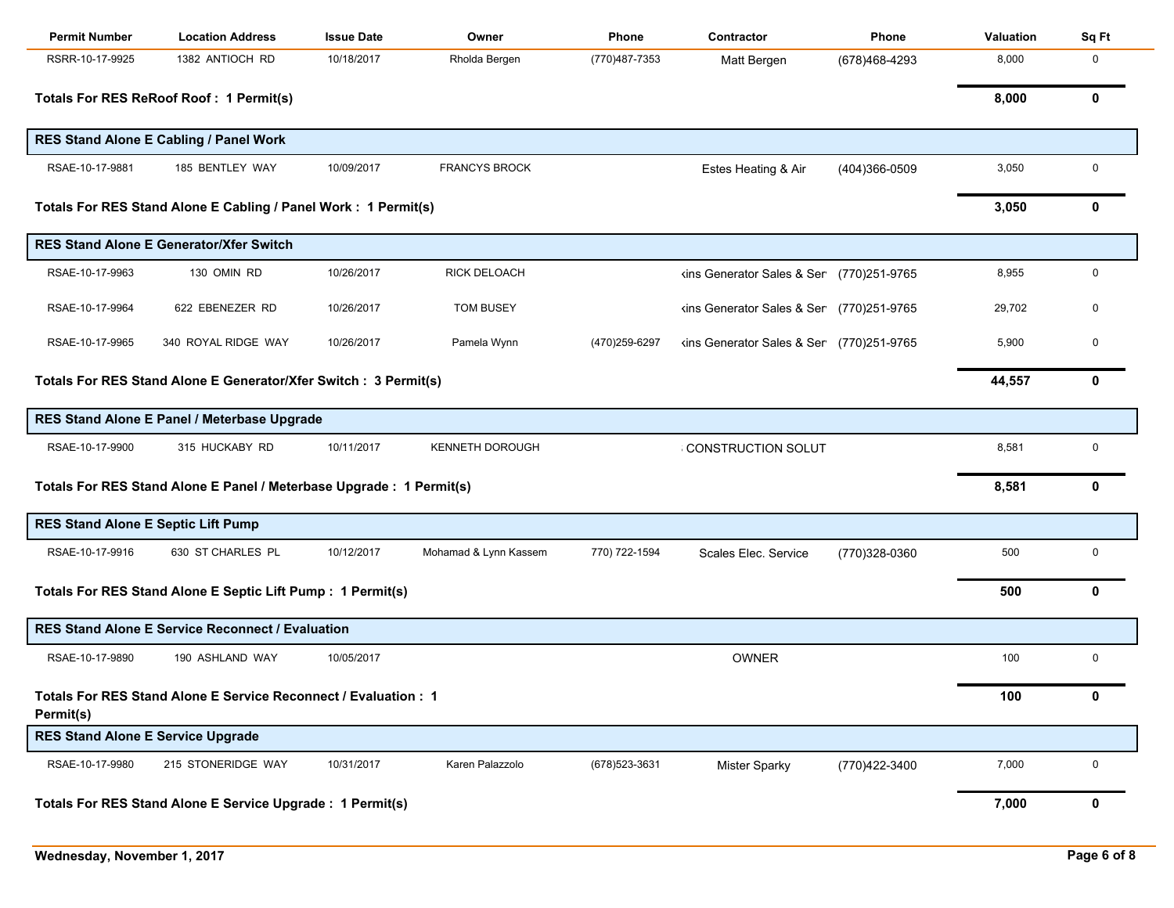| <b>Permit Number</b>                      | <b>Location Address</b>                                              | <b>Issue Date</b> | Owner                  | Phone          | Contractor                               | <b>Phone</b>  | Valuation | Sq Ft       |
|-------------------------------------------|----------------------------------------------------------------------|-------------------|------------------------|----------------|------------------------------------------|---------------|-----------|-------------|
| RSRR-10-17-9925                           | 1382 ANTIOCH RD                                                      | 10/18/2017        | Rholda Bergen          | (770)487-7353  | Matt Bergen                              | (678)468-4293 | 8,000     | 0           |
|                                           | Totals For RES ReRoof Roof: 1 Permit(s)                              |                   |                        |                |                                          |               | 8,000     | 0           |
|                                           | RES Stand Alone E Cabling / Panel Work                               |                   |                        |                |                                          |               |           |             |
| RSAE-10-17-9881                           | 185 BENTLEY WAY                                                      | 10/09/2017        | <b>FRANCYS BROCK</b>   |                | Estes Heating & Air                      | (404)366-0509 | 3,050     | 0           |
|                                           | Totals For RES Stand Alone E Cabling / Panel Work: 1 Permit(s)       |                   |                        |                |                                          |               | 3,050     | 0           |
|                                           | <b>RES Stand Alone E Generator/Xfer Switch</b>                       |                   |                        |                |                                          |               |           |             |
| RSAE-10-17-9963                           | 130 OMIN RD                                                          | 10/26/2017        | <b>RICK DELOACH</b>    |                | kins Generator Sales & Ser (770)251-9765 |               | 8,955     | 0           |
| RSAE-10-17-9964                           | 622 EBENEZER RD                                                      | 10/26/2017        | <b>TOM BUSEY</b>       |                | kins Generator Sales & Ser (770)251-9765 |               | 29,702    | 0           |
| RSAE-10-17-9965                           | 340 ROYAL RIDGE WAY                                                  | 10/26/2017        | Pamela Wynn            | (470) 259-6297 | kins Generator Sales & Ser (770)251-9765 |               | 5,900     | $\Omega$    |
|                                           | Totals For RES Stand Alone E Generator/Xfer Switch : 3 Permit(s)     |                   |                        |                |                                          |               | 44,557    | 0           |
|                                           | RES Stand Alone E Panel / Meterbase Upgrade                          |                   |                        |                |                                          |               |           |             |
| RSAE-10-17-9900                           | 315 HUCKABY RD                                                       | 10/11/2017        | <b>KENNETH DOROUGH</b> |                | CONSTRUCTION SOLUT                       |               | 8,581     | 0           |
|                                           | Totals For RES Stand Alone E Panel / Meterbase Upgrade : 1 Permit(s) |                   |                        |                |                                          |               | 8,581     | 0           |
| <b>RES Stand Alone E Septic Lift Pump</b> |                                                                      |                   |                        |                |                                          |               |           |             |
| RSAE-10-17-9916                           | 630 ST CHARLES PL                                                    | 10/12/2017        | Mohamad & Lynn Kassem  | 770) 722-1594  | Scales Elec. Service                     | (770)328-0360 | 500       | 0           |
|                                           | Totals For RES Stand Alone E Septic Lift Pump : 1 Permit(s)          |                   |                        |                |                                          |               | 500       | 0           |
|                                           | <b>RES Stand Alone E Service Reconnect / Evaluation</b>              |                   |                        |                |                                          |               |           |             |
| RSAE-10-17-9890                           | 190 ASHLAND WAY                                                      | 10/05/2017        |                        |                | <b>OWNER</b>                             |               | 100       | $\mathbf 0$ |
| Permit(s)                                 | Totals For RES Stand Alone E Service Reconnect / Evaluation: 1       |                   |                        |                |                                          |               | 100       | 0           |
| <b>RES Stand Alone E Service Upgrade</b>  |                                                                      |                   |                        |                |                                          |               |           |             |
| RSAE-10-17-9980                           | 215 STONERIDGE WAY                                                   | 10/31/2017        | Karen Palazzolo        | (678) 523-3631 | <b>Mister Sparky</b>                     | (770)422-3400 | 7,000     | $\pmb{0}$   |
|                                           | Totals For RES Stand Alone E Service Upgrade : 1 Permit(s)           |                   |                        |                |                                          |               | 7,000     | 0           |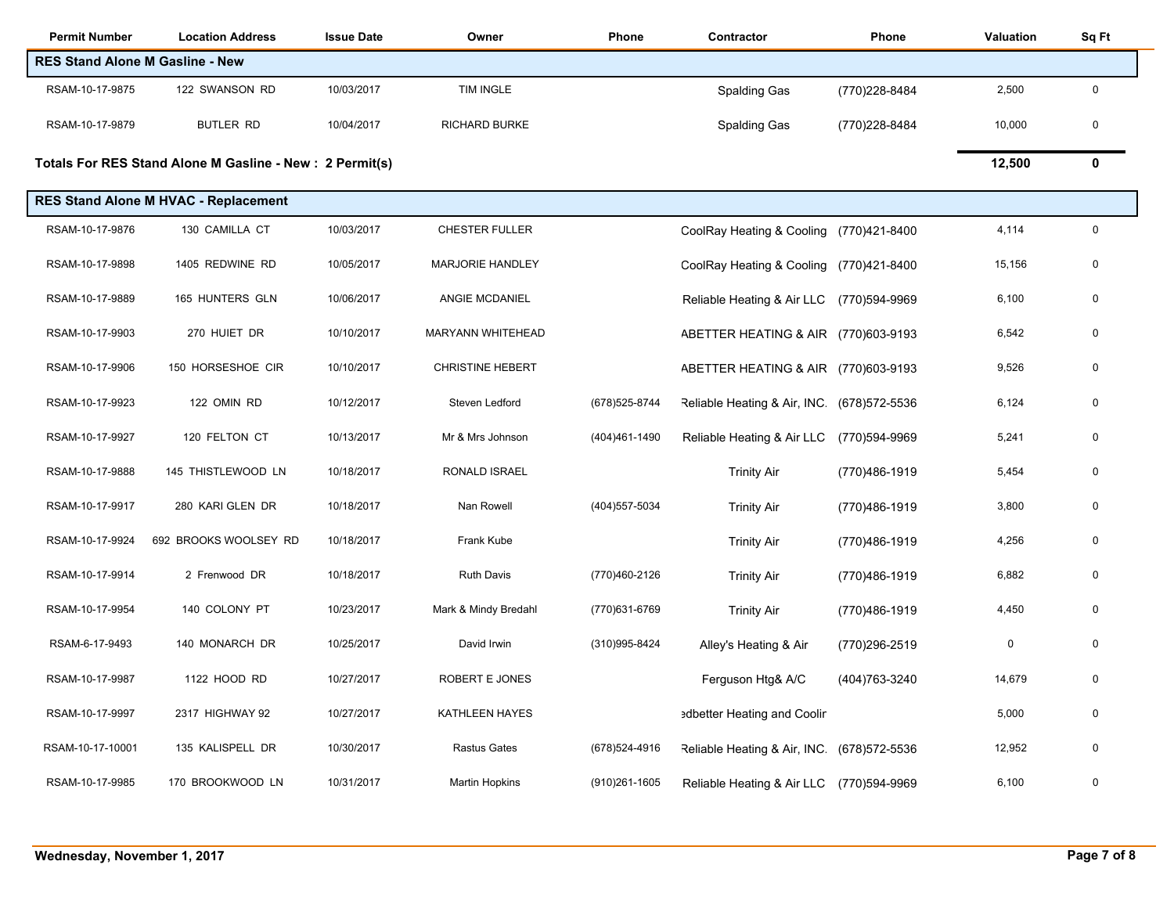| <b>Permit Number</b>                   | <b>Location Address</b>                                  | <b>Issue Date</b> | Owner                   | Phone             | Contractor                              | Phone          | Valuation | Sq Ft       |
|----------------------------------------|----------------------------------------------------------|-------------------|-------------------------|-------------------|-----------------------------------------|----------------|-----------|-------------|
| <b>RES Stand Alone M Gasline - New</b> |                                                          |                   |                         |                   |                                         |                |           |             |
| RSAM-10-17-9875                        | 122 SWANSON RD                                           | 10/03/2017        | <b>TIM INGLE</b>        |                   | Spalding Gas                            | (770) 228-8484 | 2,500     | $\mathbf 0$ |
| RSAM-10-17-9879                        | <b>BUTLER RD</b>                                         | 10/04/2017        | <b>RICHARD BURKE</b>    |                   | Spalding Gas                            | (770)228-8484  | 10,000    | $\mathbf 0$ |
|                                        | Totals For RES Stand Alone M Gasline - New : 2 Permit(s) |                   |                         |                   |                                         |                | 12,500    | $\mathbf 0$ |
|                                        | <b>RES Stand Alone M HVAC - Replacement</b>              |                   |                         |                   |                                         |                |           |             |
| RSAM-10-17-9876                        | 130 CAMILLA CT                                           | 10/03/2017        | <b>CHESTER FULLER</b>   |                   | CoolRay Heating & Cooling (770)421-8400 |                | 4,114     | $\mathsf 0$ |
| RSAM-10-17-9898                        | 1405 REDWINE RD                                          | 10/05/2017        | <b>MARJORIE HANDLEY</b> |                   | CoolRay Heating & Cooling               | (770)421-8400  | 15,156    | 0           |
| RSAM-10-17-9889                        | 165 HUNTERS GLN                                          | 10/06/2017        | ANGIE MCDANIEL          |                   | Reliable Heating & Air LLC              | (770)594-9969  | 6,100     | $\mathbf 0$ |
| RSAM-10-17-9903                        | 270 HUIET DR                                             | 10/10/2017        | MARYANN WHITEHEAD       |                   | ABETTER HEATING & AIR                   | (770)603-9193  | 6,542     | 0           |
| RSAM-10-17-9906                        | 150 HORSESHOE CIR                                        | 10/10/2017        | <b>CHRISTINE HEBERT</b> |                   | ABETTER HEATING & AIR (770)603-9193     |                | 9,526     | 0           |
| RSAM-10-17-9923                        | 122 OMIN RD                                              | 10/12/2017        | Steven Ledford          | (678) 525-8744    | Reliable Heating & Air, INC.            | (678) 572-5536 | 6,124     | 0           |
| RSAM-10-17-9927                        | 120 FELTON CT                                            | 10/13/2017        | Mr & Mrs Johnson        | (404)461-1490     | Reliable Heating & Air LLC              | (770)594-9969  | 5,241     | $\mathbf 0$ |
| RSAM-10-17-9888                        | 145 THISTLEWOOD LN                                       | 10/18/2017        | RONALD ISRAEL           |                   | <b>Trinity Air</b>                      | (770)486-1919  | 5,454     | 0           |
| RSAM-10-17-9917                        | 280 KARI GLEN DR                                         | 10/18/2017        | Nan Rowell              | (404) 557-5034    | <b>Trinity Air</b>                      | (770)486-1919  | 3,800     | 0           |
| RSAM-10-17-9924                        | 692 BROOKS WOOLSEY RD                                    | 10/18/2017        | Frank Kube              |                   | <b>Trinity Air</b>                      | (770)486-1919  | 4,256     | 0           |
| RSAM-10-17-9914                        | 2 Frenwood DR                                            | 10/18/2017        | <b>Ruth Davis</b>       | (770)460-2126     | <b>Trinity Air</b>                      | (770)486-1919  | 6,882     | 0           |
| RSAM-10-17-9954                        | 140 COLONY PT                                            | 10/23/2017        | Mark & Mindy Bredahl    | (770)631-6769     | <b>Trinity Air</b>                      | (770)486-1919  | 4,450     | 0           |
| RSAM-6-17-9493                         | 140 MONARCH DR                                           | 10/25/2017        | David Irwin             | (310)995-8424     | Alley's Heating & Air                   | (770)296-2519  | $\pmb{0}$ | 0           |
| RSAM-10-17-9987                        | 1122 HOOD RD                                             | 10/27/2017        | ROBERT E JONES          |                   | Ferguson Htg& A/C                       | (404) 763-3240 | 14,679    | 0           |
| RSAM-10-17-9997                        | 2317 HIGHWAY 92                                          | 10/27/2017        | KATHLEEN HAYES          |                   | edbetter Heating and Coolir             |                | 5,000     | 0           |
| RSAM-10-17-10001                       | 135 KALISPELL DR                                         | 10/30/2017        | <b>Rastus Gates</b>     | (678) 524-4916    | Reliable Heating & Air, INC.            | (678) 572-5536 | 12,952    | $\mathbf 0$ |
| RSAM-10-17-9985                        | 170 BROOKWOOD LN                                         | 10/31/2017        | <b>Martin Hopkins</b>   | $(910)261 - 1605$ | Reliable Heating & Air LLC              | (770)594-9969  | 6,100     | 0           |